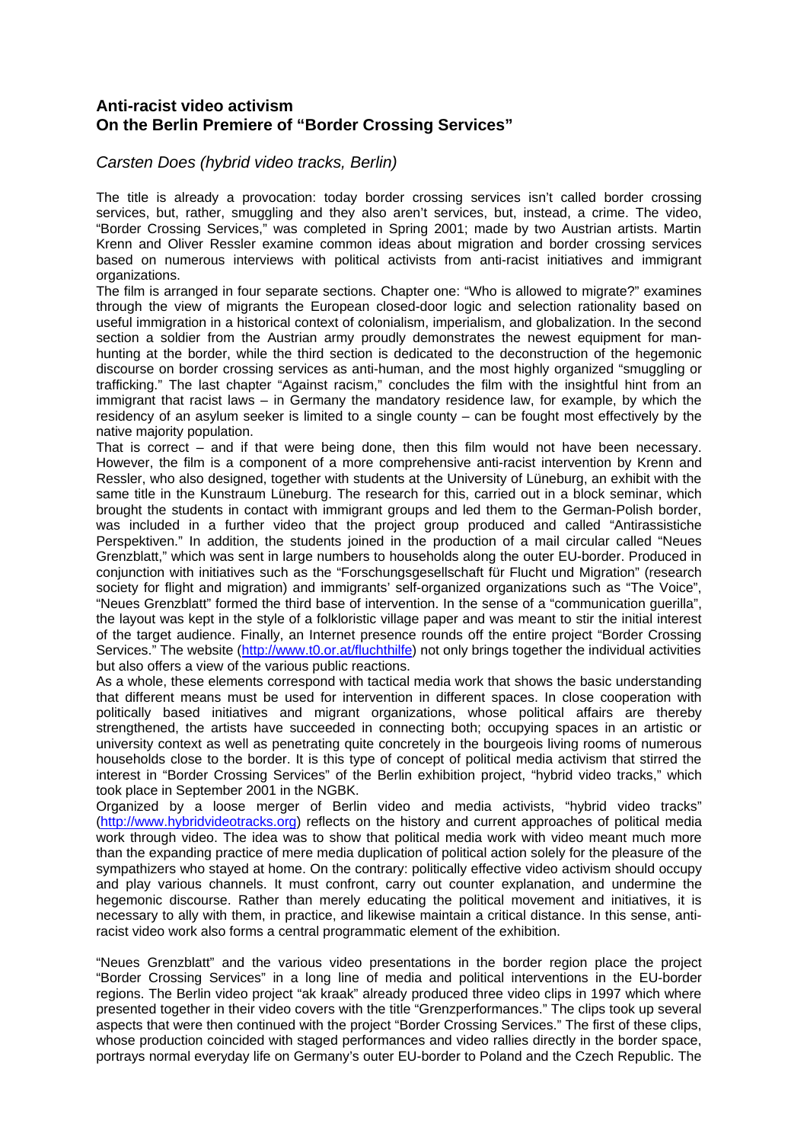## **Anti-racist video activism On the Berlin Premiere of "Border Crossing Services"**

## *Carsten Does (hybrid video tracks, Berlin)*

The title is already a provocation: today border crossing services isn't called border crossing services, but, rather, smuggling and they also aren't services, but, instead, a crime. The video, "Border Crossing Services," was completed in Spring 2001; made by two Austrian artists. Martin Krenn and Oliver Ressler examine common ideas about migration and border crossing services based on numerous interviews with political activists from anti-racist initiatives and immigrant organizations.

The film is arranged in four separate sections. Chapter one: "Who is allowed to migrate?" examines through the view of migrants the European closed-door logic and selection rationality based on useful immigration in a historical context of colonialism, imperialism, and globalization. In the second section a soldier from the Austrian army proudly demonstrates the newest equipment for manhunting at the border, while the third section is dedicated to the deconstruction of the hegemonic discourse on border crossing services as anti-human, and the most highly organized "smuggling or trafficking." The last chapter "Against racism," concludes the film with the insightful hint from an immigrant that racist laws – in Germany the mandatory residence law, for example, by which the residency of an asylum seeker is limited to a single county – can be fought most effectively by the native majority population.

That is correct – and if that were being done, then this film would not have been necessary. However, the film is a component of a more comprehensive anti-racist intervention by Krenn and Ressler, who also designed, together with students at the University of Lüneburg, an exhibit with the same title in the Kunstraum Lüneburg. The research for this, carried out in a block seminar, which brought the students in contact with immigrant groups and led them to the German-Polish border, was included in a further video that the project group produced and called "Antirassistiche Perspektiven." In addition, the students joined in the production of a mail circular called "Neues Grenzblatt," which was sent in large numbers to households along the outer EU-border. Produced in conjunction with initiatives such as the "Forschungsgesellschaft für Flucht und Migration" (research society for flight and migration) and immigrants' self-organized organizations such as "The Voice", "Neues Grenzblatt" formed the third base of intervention. In the sense of a "communication guerilla", the layout was kept in the style of a folkloristic village paper and was meant to stir the initial interest of the target audience. Finally, an Internet presence rounds off the entire project "Border Crossing Services." The website (http://www.t0.or.at/fluchthilfe) not only brings together the individual activities but also offers a view of the various public reactions.

As a whole, these elements correspond with tactical media work that shows the basic understanding that different means must be used for intervention in different spaces. In close cooperation with politically based initiatives and migrant organizations, whose political affairs are thereby strengthened, the artists have succeeded in connecting both; occupying spaces in an artistic or university context as well as penetrating quite concretely in the bourgeois living rooms of numerous households close to the border. It is this type of concept of political media activism that stirred the interest in "Border Crossing Services" of the Berlin exhibition project, "hybrid video tracks," which took place in September 2001 in the NGBK.

Organized by a loose merger of Berlin video and media activists, "hybrid video tracks" (http://www.hybridvideotracks.org) reflects on the history and current approaches of political media work through video. The idea was to show that political media work with video meant much more than the expanding practice of mere media duplication of political action solely for the pleasure of the sympathizers who stayed at home. On the contrary: politically effective video activism should occupy and play various channels. It must confront, carry out counter explanation, and undermine the hegemonic discourse. Rather than merely educating the political movement and initiatives, it is necessary to ally with them, in practice, and likewise maintain a critical distance. In this sense, antiracist video work also forms a central programmatic element of the exhibition.

"Neues Grenzblatt" and the various video presentations in the border region place the project "Border Crossing Services" in a long line of media and political interventions in the EU-border regions. The Berlin video project "ak kraak" already produced three video clips in 1997 which where presented together in their video covers with the title "Grenzperformances." The clips took up several aspects that were then continued with the project "Border Crossing Services." The first of these clips, whose production coincided with staged performances and video rallies directly in the border space, portrays normal everyday life on Germany's outer EU-border to Poland and the Czech Republic. The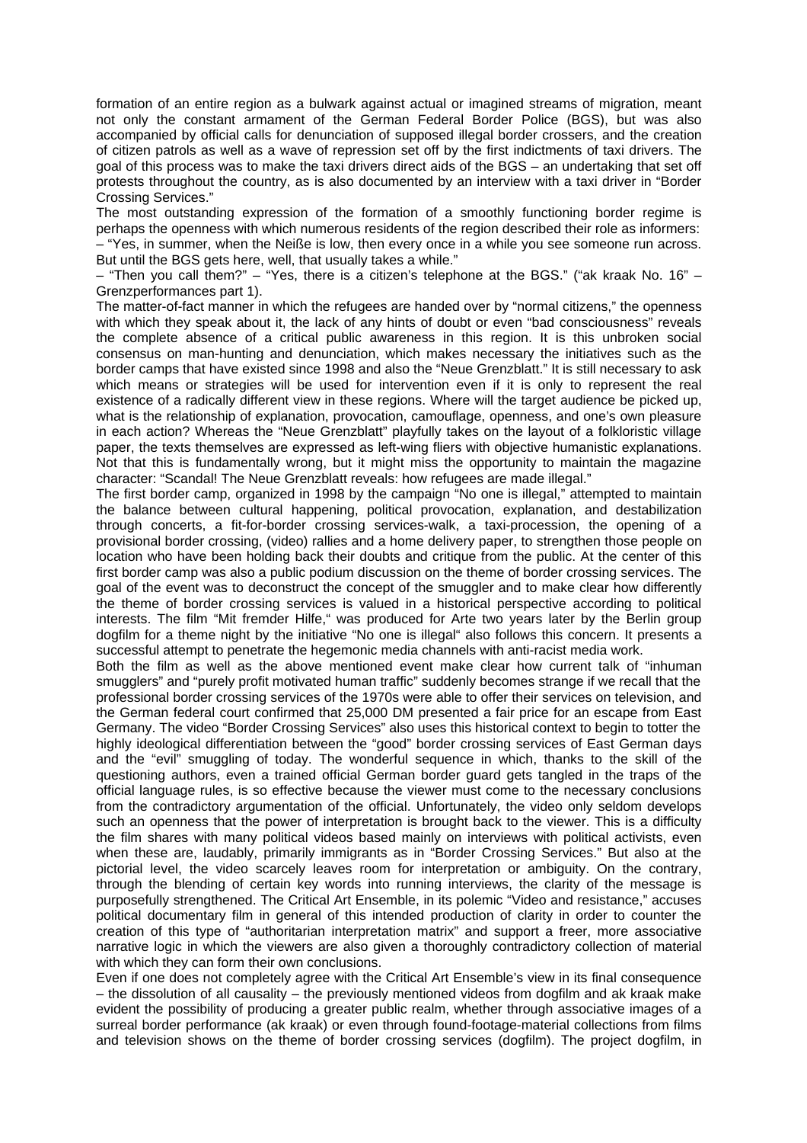formation of an entire region as a bulwark against actual or imagined streams of migration, meant not only the constant armament of the German Federal Border Police (BGS), but was also accompanied by official calls for denunciation of supposed illegal border crossers, and the creation of citizen patrols as well as a wave of repression set off by the first indictments of taxi drivers. The goal of this process was to make the taxi drivers direct aids of the BGS – an undertaking that set off protests throughout the country, as is also documented by an interview with a taxi driver in "Border Crossing Services."

The most outstanding expression of the formation of a smoothly functioning border regime is perhaps the openness with which numerous residents of the region described their role as informers: – "Yes, in summer, when the Neiße is low, then every once in a while you see someone run across. But until the BGS gets here, well, that usually takes a while."

– "Then you call them?" – "Yes, there is a citizen's telephone at the BGS." ("ak kraak No. 16" – Grenzperformances part 1).

The matter-of-fact manner in which the refugees are handed over by "normal citizens," the openness with which they speak about it, the lack of any hints of doubt or even "bad consciousness" reveals the complete absence of a critical public awareness in this region. It is this unbroken social consensus on man-hunting and denunciation, which makes necessary the initiatives such as the border camps that have existed since 1998 and also the "Neue Grenzblatt." It is still necessary to ask which means or strategies will be used for intervention even if it is only to represent the real existence of a radically different view in these regions. Where will the target audience be picked up, what is the relationship of explanation, provocation, camouflage, openness, and one's own pleasure in each action? Whereas the "Neue Grenzblatt" playfully takes on the layout of a folkloristic village paper, the texts themselves are expressed as left-wing fliers with objective humanistic explanations. Not that this is fundamentally wrong, but it might miss the opportunity to maintain the magazine character: "Scandal! The Neue Grenzblatt reveals: how refugees are made illegal."

The first border camp, organized in 1998 by the campaign "No one is illegal," attempted to maintain the balance between cultural happening, political provocation, explanation, and destabilization through concerts, a fit-for-border crossing services-walk, a taxi-procession, the opening of a provisional border crossing, (video) rallies and a home delivery paper, to strengthen those people on location who have been holding back their doubts and critique from the public. At the center of this first border camp was also a public podium discussion on the theme of border crossing services. The goal of the event was to deconstruct the concept of the smuggler and to make clear how differently the theme of border crossing services is valued in a historical perspective according to political interests. The film "Mit fremder Hilfe," was produced for Arte two years later by the Berlin group dogfilm for a theme night by the initiative "No one is illegal" also follows this concern. It presents a successful attempt to penetrate the hegemonic media channels with anti-racist media work.

Both the film as well as the above mentioned event make clear how current talk of "inhuman smugglers" and "purely profit motivated human traffic" suddenly becomes strange if we recall that the professional border crossing services of the 1970s were able to offer their services on television, and the German federal court confirmed that 25,000 DM presented a fair price for an escape from East Germany. The video "Border Crossing Services" also uses this historical context to begin to totter the highly ideological differentiation between the "good" border crossing services of East German days and the "evil" smuggling of today. The wonderful sequence in which, thanks to the skill of the questioning authors, even a trained official German border guard gets tangled in the traps of the official language rules, is so effective because the viewer must come to the necessary conclusions from the contradictory argumentation of the official. Unfortunately, the video only seldom develops such an openness that the power of interpretation is brought back to the viewer. This is a difficulty the film shares with many political videos based mainly on interviews with political activists, even when these are, laudably, primarily immigrants as in "Border Crossing Services." But also at the pictorial level, the video scarcely leaves room for interpretation or ambiguity. On the contrary, through the blending of certain key words into running interviews, the clarity of the message is purposefully strengthened. The Critical Art Ensemble, in its polemic "Video and resistance," accuses political documentary film in general of this intended production of clarity in order to counter the creation of this type of "authoritarian interpretation matrix" and support a freer, more associative narrative logic in which the viewers are also given a thoroughly contradictory collection of material with which they can form their own conclusions.

Even if one does not completely agree with the Critical Art Ensemble's view in its final consequence – the dissolution of all causality – the previously mentioned videos from dogfilm and ak kraak make evident the possibility of producing a greater public realm, whether through associative images of a surreal border performance (ak kraak) or even through found-footage-material collections from films and television shows on the theme of border crossing services (dogfilm). The project dogfilm, in